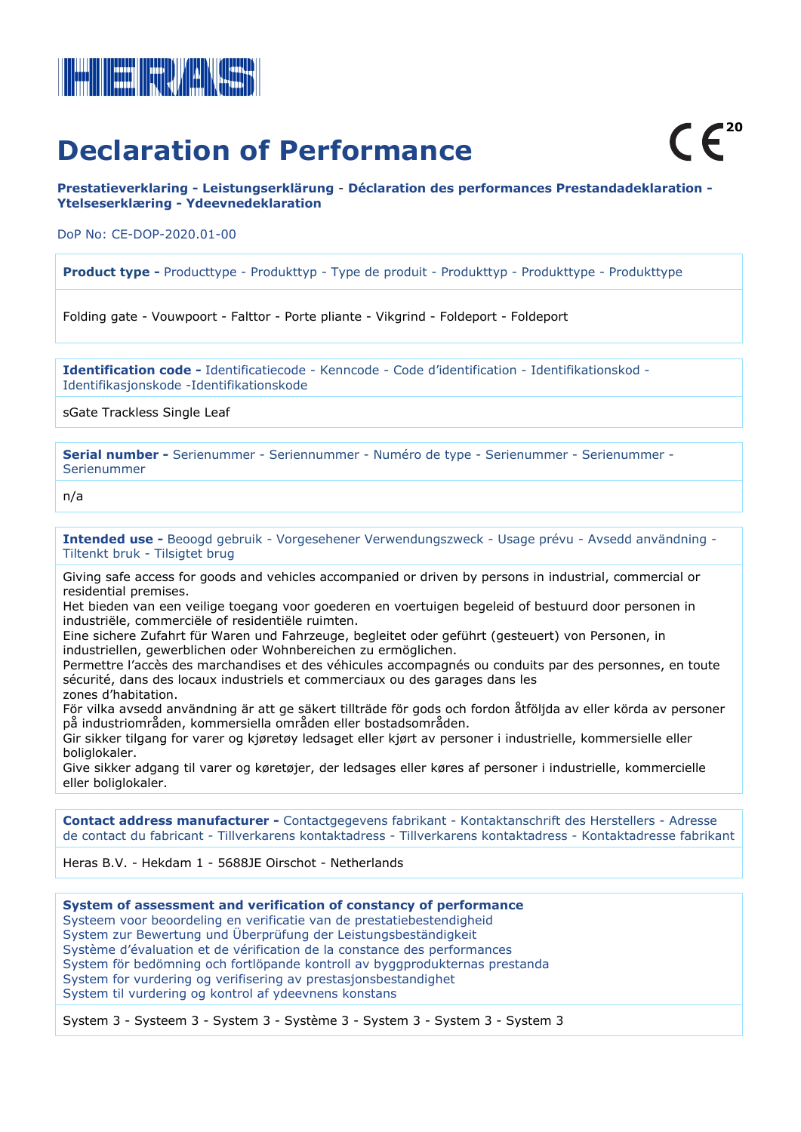

# **Declaration of Performance**

**Prestatieverklaring - Leistungserklärung** - **Déclaration des performances Prestandadeklaration - Ytelseserklæring - Ydeevnedeklaration**

DoP No: CE-DOP-2020.01-00

**Product type -** Producttype - Produkttyp - Type de produit - Produkttyp - Produkttype - Produkttype

Folding gate - Vouwpoort - Falttor - Porte pliante - Vikgrind - Foldeport - Foldeport

**Identification code -** Identificatiecode - Kenncode - Code d'identification - Identifikationskod - Identifikasjonskode -Identifikationskode

sGate Trackless Single Leaf

**Serial number -** Serienummer - Seriennummer - Numéro de type - Serienummer - Serienummer - Serienummer

n/a

**Intended use -** Beoogd gebruik - Vorgesehener Verwendungszweck - Usage prévu - Avsedd användning - Tiltenkt bruk - Tilsigtet brug

Giving safe access for goods and vehicles accompanied or driven by persons in industrial, commercial or residential premises.

Het bieden van een veilige toegang voor goederen en voertuigen begeleid of bestuurd door personen in industriële, commerciële of residentiële ruimten.

Eine sichere Zufahrt für Waren und Fahrzeuge, begleitet oder geführt (gesteuert) von Personen, in industriellen, gewerblichen oder Wohnbereichen zu ermöglichen.

Permettre l'accès des marchandises et des véhicules accompagnés ou conduits par des personnes, en toute sécurité, dans des locaux industriels et commerciaux ou des garages dans les zones d'habitation.

För vilka avsedd användning är att ge säkert tillträde för gods och fordon åtföljda av eller körda av personer på industriområden, kommersiella områden eller bostadsområden.

Gir sikker tilgang for varer og kjøretøy ledsaget eller kjørt av personer i industrielle, kommersielle eller boliglokaler.

Give sikker adgang til varer og køretøjer, der ledsages eller køres af personer i industrielle, kommercielle eller boliglokaler.

**Contact address manufacturer -** Contactgegevens fabrikant - Kontaktanschrift des Herstellers - Adresse de contact du fabricant - Tillverkarens kontaktadress - Tillverkarens kontaktadress - Kontaktadresse fabrikant

Heras B.V. - Hekdam 1 - 5688JE Oirschot - Netherlands

**System of assessment and verification of constancy of performance** Systeem voor beoordeling en verificatie van de prestatiebestendigheid System zur Bewertung und Überprüfung der Leistungsbeständigkeit Système d'évaluation et de vérification de la constance des performances System för bedömning och fortlöpande kontroll av byggprodukternas prestanda System for vurdering og verifisering av prestasjonsbestandighet System til vurdering og kontrol af ydeevnens konstans

System 3 - Systeem 3 - System 3 - Système 3 - System 3 - System 3 - System 3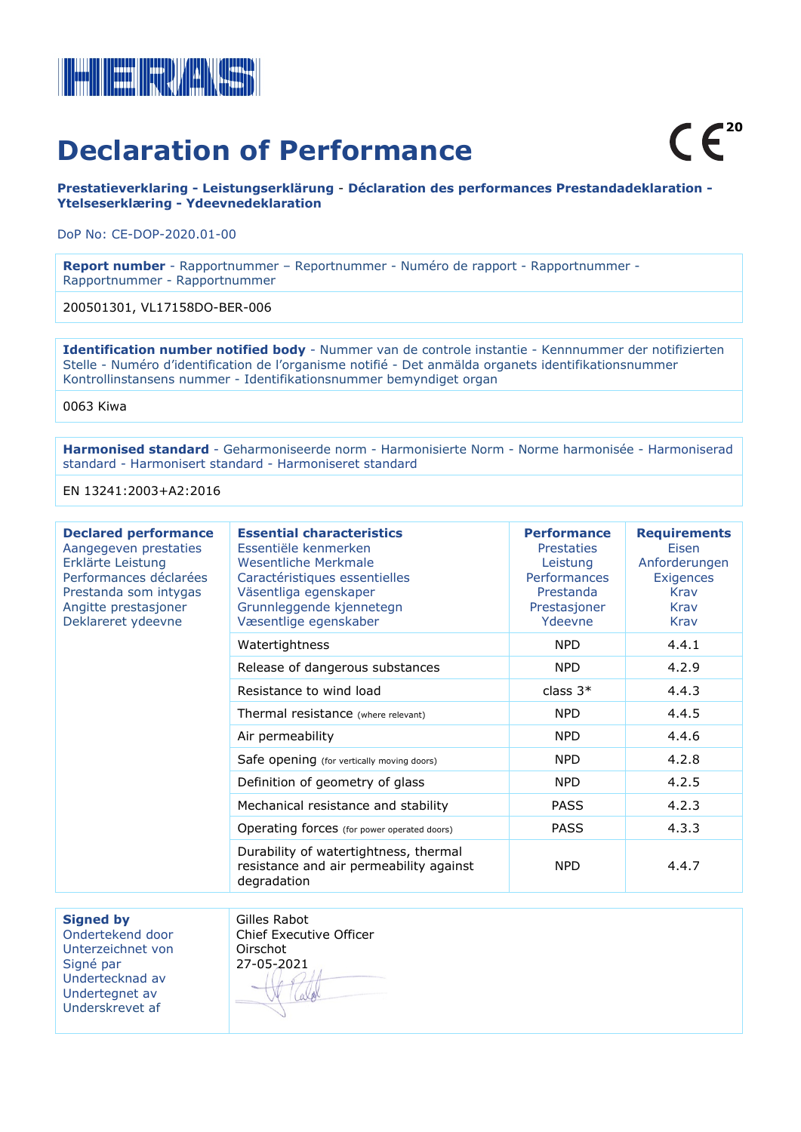

## **Declaration of Performance**

**Prestatieverklaring - Leistungserklärung** - **Déclaration des performances Prestandadeklaration - Ytelseserklæring - Ydeevnedeklaration**

DoP No: CE-DOP-2020.01-00

**Report number** - Rapportnummer – Reportnummer - Numéro de rapport - Rapportnummer - Rapportnummer - Rapportnummer

200501301, VL17158DO-BER-006

**Identification number notified body** - Nummer van de controle instantie - Kennnummer der notifizierten Stelle - Numéro d'identification de l'organisme notifié - Det anmälda organets identifikationsnummer Kontrollinstansens nummer - Identifikationsnummer bemyndiget organ

0063 Kiwa

**Harmonised standard** - Geharmoniseerde norm - Harmonisierte Norm - Norme harmonisée - Harmoniserad standard - Harmonisert standard - Harmoniseret standard

EN 13241:2003+A2:2016

| <b>Declared performance</b><br>Aangegeven prestaties<br>Erklärte Leistung<br>Performances déclarées<br>Prestanda som intygas<br>Angitte prestasjoner<br>Deklareret ydeevne | <b>Essential characteristics</b><br>Essentiële kenmerken<br>Wesentliche Merkmale<br>Caractéristiques essentielles<br>Väsentliga egenskaper<br>Grunnleggende kjennetegn<br>Væsentlige egenskaber | <b>Performance</b><br><b>Prestaties</b><br>Leistung<br><b>Performances</b><br>Prestanda<br>Prestasjoner<br>Ydeevne | <b>Requirements</b><br>Eisen<br>Anforderungen<br>Exigences<br>Krav<br>Krav<br><b>Krav</b> |
|----------------------------------------------------------------------------------------------------------------------------------------------------------------------------|-------------------------------------------------------------------------------------------------------------------------------------------------------------------------------------------------|--------------------------------------------------------------------------------------------------------------------|-------------------------------------------------------------------------------------------|
|                                                                                                                                                                            | Watertightness                                                                                                                                                                                  | <b>NPD</b>                                                                                                         | 4.4.1                                                                                     |
|                                                                                                                                                                            | Release of dangerous substances                                                                                                                                                                 | <b>NPD</b>                                                                                                         | 4.2.9                                                                                     |
|                                                                                                                                                                            | Resistance to wind load                                                                                                                                                                         | class $3*$                                                                                                         | 4.4.3                                                                                     |
|                                                                                                                                                                            | Thermal resistance (where relevant)                                                                                                                                                             | <b>NPD</b>                                                                                                         | 4.4.5                                                                                     |
|                                                                                                                                                                            | Air permeability                                                                                                                                                                                | <b>NPD</b>                                                                                                         | 4.4.6                                                                                     |
|                                                                                                                                                                            | Safe opening (for vertically moving doors)                                                                                                                                                      | <b>NPD</b>                                                                                                         | 4.2.8                                                                                     |
|                                                                                                                                                                            | Definition of geometry of glass                                                                                                                                                                 | <b>NPD</b>                                                                                                         | 4.2.5                                                                                     |
|                                                                                                                                                                            | Mechanical resistance and stability                                                                                                                                                             | <b>PASS</b>                                                                                                        | 4.2.3                                                                                     |
|                                                                                                                                                                            | Operating forces (for power operated doors)                                                                                                                                                     | <b>PASS</b>                                                                                                        | 4.3.3                                                                                     |
|                                                                                                                                                                            | Durability of watertightness, thermal<br>resistance and air permeability against<br>degradation                                                                                                 | <b>NPD</b>                                                                                                         | 4.4.7                                                                                     |

**Signed by** 

Ondertekend door Unterzeichnet von Signé par Undertecknad av Undertegnet av Underskrevet af

Gilles Rabot Chief Executive Officer Oirschot 27-05-2021